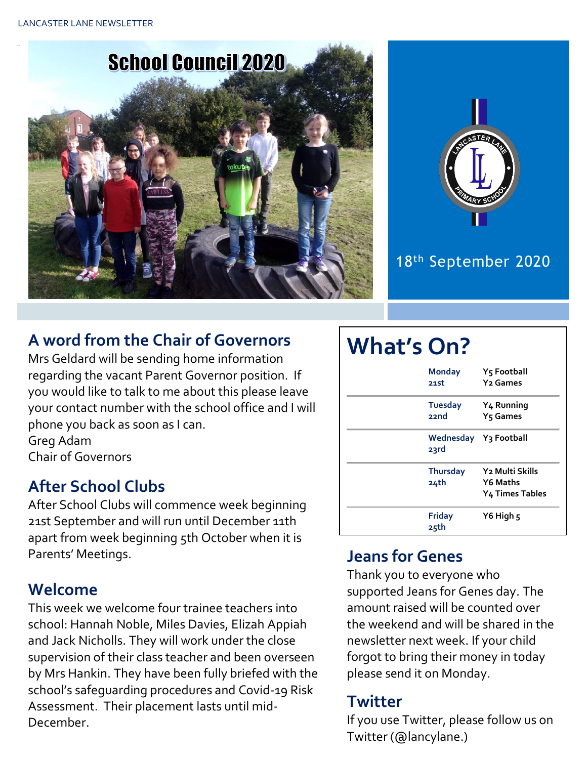



#### 18th September 2020

# **A word from the Chair of Governors**

Mrs Geldard will be sending home information regarding the vacant Parent Governor position. If you would like to talk to me about this please leave your contact number with the school office and I will phone you back as soon as I can. Greg Adam Chair of Governors

#### **After School Clubs**

After School Clubs will commence week beginning 21st September and will run until December 11th apart from week beginning 5th October when it is Parents' Meetings.

#### **Welcome**

This week we welcome four trainee teachers into school: Hannah Noble, Miles Davies, Elizah Appiah and Jack Nicholls. They will work under the close supervision of their class teacher and been overseen by Mrs Hankin. They have been fully briefed with the school's safeguarding procedures and Covid-19 Risk Assessment. Their placement lasts until mid-December.

# **What's On?**

| <b>Monday</b><br>21st         | Y5 Football<br>Y <sub>2</sub> Games                        |
|-------------------------------|------------------------------------------------------------|
| <b>Tuesday</b><br>22nd        | Y <sub>4</sub> Running<br>Y <sub>5</sub> Games             |
| Wednesday Y3 Football<br>23rd |                                                            |
| <b>Thursday</b><br>24th       | Y <sub>2</sub> Multi Skills<br>Y6 Maths<br>Y4 Times Tables |
| <b>Friday</b><br>25th         | $Y6$ High $\zeta$                                          |

# **Jeans for Genes**

Thank you to everyone who supported Jeans for Genes day. The amount raised will be counted over the weekend and will be shared in the newsletter next week. If your child forgot to bring their money in today please send it on Monday.

# **Twitter**

If you use Twitter, please follow us on Twitter (@lancylane.)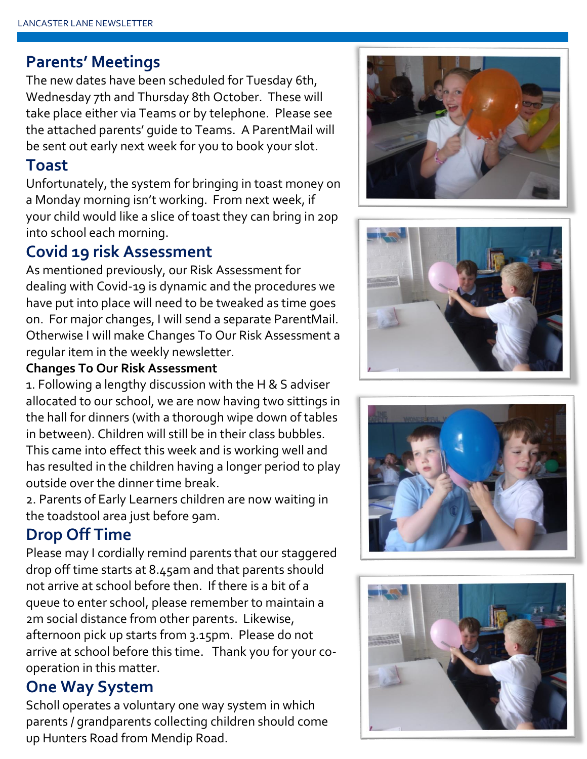#### **Parents' Meetings**

The new dates have been scheduled for Tuesday 6th, Wednesday 7th and Thursday 8th October. These will take place either via Teams or by telephone. Please see the attached parents' guide to Teams. A ParentMail will be sent out early next week for you to book your slot.

#### **Toast**

Unfortunately, the system for bringing in toast money on a Monday morning isn't working. From next week, if your child would like a slice of toast they can bring in 20p into school each morning.

#### **Covid 19 risk Assessment**

As mentioned previously, our Risk Assessment for dealing with Covid-19 is dynamic and the procedures we have put into place will need to be tweaked as time goes on. For major changes, I will send a separate ParentMail. Otherwise I will make Changes To Our Risk Assessment a regular item in the weekly newsletter.

#### **Changes To Our Risk Assessment**

1. Following a lengthy discussion with the H & S adviser allocated to our school, we are now having two sittings in the hall for dinners (with a thorough wipe down of tables in between). Children will still be in their class bubbles.

This came into effect this week and is working well and has resulted in the children having a longer period to play outside over the dinner time break.

2. Parents of Early Learners children are now waiting in the toadstool area just before 9am.

#### **Drop Off Time**

Please may I cordially remind parents that our staggered drop off time starts at 8.45am and that parents should not arrive at school before then. If there is a bit of a queue to enter school, please remember to maintain a 2m social distance from other parents. Likewise, afternoon pick up starts from 3.15pm. Please do not arrive at school before this time. Thank you for your cooperation in this matter.

#### **One Way System**

Scholl operates a voluntary one way system in which parents / grandparents collecting children should come up Hunters Road from Mendip Road.